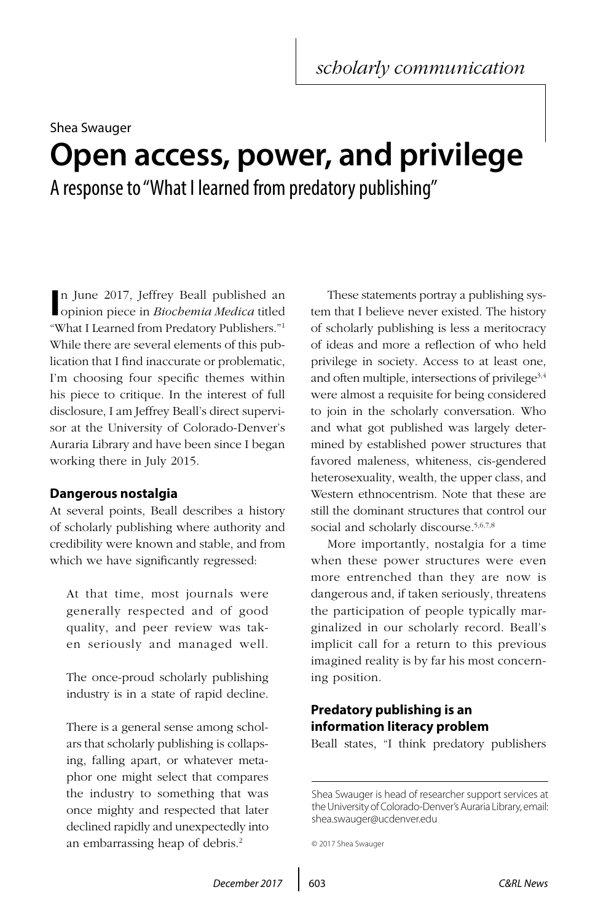# Shea Swauger **Open access, power, and privilege** A response to "What I learned from predatory publishing"

**I** opinion piece in *Biochemia Medica* titled n June 2017, Jeffrey Beall published an "What I Learned from Predatory Publishers."1 While there are several elements of this publication that I find inaccurate or problematic, I'm choosing four specific themes within his piece to critique. In the interest of full disclosure, I am Jeffrey Beall's direct supervisor at the University of Colorado-Denver's Auraria Library and have been since I began working there in July 2015.

# **Dangerous nostalgia**

At several points, Beall describes a history of scholarly publishing where authority and credibility were known and stable, and from which we have significantly regressed:

At that time, most journals were generally respected and of good quality, and peer review was taken seriously and managed well.

The once-proud scholarly publishing industry is in a state of rapid decline.

There is a general sense among scholars that scholarly publishing is collapsing, falling apart, or whatever metaphor one might select that compares the industry to something that was once mighty and respected that later declined rapidly and unexpectedly into an embarrassing heap of debris.2

These statements portray a publishing system that I believe never existed. The history of scholarly publishing is less a meritocracy of ideas and more a reflection of who held privilege in society. Access to at least one, and often multiple, intersections of privilege<sup>3,4</sup> were almost a requisite for being considered to join in the scholarly conversation. Who and what got published was largely determined by established power structures that favored maleness, whiteness, cis-gendered heterosexuality, wealth, the upper class, and Western ethnocentrism. Note that these are still the dominant structures that control our social and scholarly discourse.<sup>5,6,7,8</sup>

More importantly, nostalgia for a time when these power structures were even more entrenched than they are now is dangerous and, if taken seriously, threatens the participation of people typically marginalized in our scholarly record. Beall's implicit call for a return to this previous imagined reality is by far his most concerning position.

# **Predatory publishing is an information literacy problem**

Beall states, "I think predatory publishers

Shea Swauger is head of researcher support services at the University of Colorado-Denver's Auraria Library, email: [shea.swauger@ucdenver.edu](mailto:shea.swauger%40ucdenver.edu?subject=)

```
© 2017 Shea Swauger
```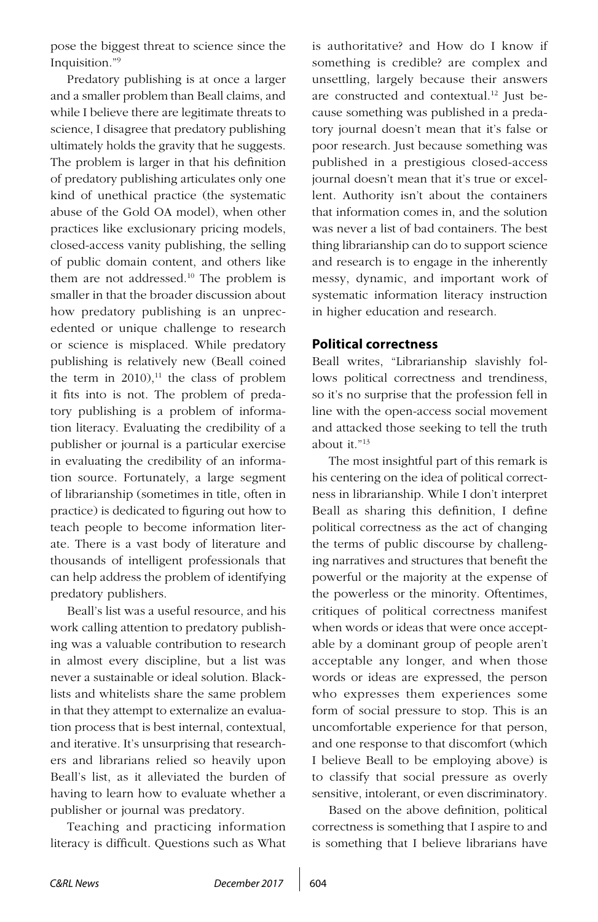pose the biggest threat to science since the Inquisition."9

Predatory publishing is at once a larger and a smaller problem than Beall claims, and while I believe there are legitimate threats to science, I disagree that predatory publishing ultimately holds the gravity that he suggests. The problem is larger in that his definition of predatory publishing articulates only one kind of unethical practice (the systematic abuse of the Gold OA model), when other practices like exclusionary pricing models, closed-access vanity publishing, the selling of public domain content, and others like them are not addressed.10 The problem is smaller in that the broader discussion about how predatory publishing is an unprecedented or unique challenge to research or science is misplaced. While predatory publishing is relatively new (Beall coined the term in  $2010$ ,<sup>11</sup> the class of problem it fits into is not. The problem of predatory publishing is a problem of information literacy. Evaluating the credibility of a publisher or journal is a particular exercise in evaluating the credibility of an information source. Fortunately, a large segment of librarianship (sometimes in title, often in practice) is dedicated to figuring out how to teach people to become information literate. There is a vast body of literature and thousands of intelligent professionals that can help address the problem of identifying predatory publishers.

Beall's list was a useful resource, and his work calling attention to predatory publishing was a valuable contribution to research in almost every discipline, but a list was never a sustainable or ideal solution. Blacklists and whitelists share the same problem in that they attempt to externalize an evaluation process that is best internal, contextual, and iterative. It's unsurprising that researchers and librarians relied so heavily upon Beall's list, as it alleviated the burden of having to learn how to evaluate whether a publisher or journal was predatory.

Teaching and practicing information literacy is difficult. Questions such as What is authoritative? and How do I know if something is credible? are complex and unsettling, largely because their answers are constructed and contextual.<sup>12</sup> Just because something was published in a predatory journal doesn't mean that it's false or poor research. Just because something was published in a prestigious closed-access journal doesn't mean that it's true or excellent. Authority isn't about the containers that information comes in, and the solution was never a list of bad containers. The best thing librarianship can do to support science and research is to engage in the inherently messy, dynamic, and important work of systematic information literacy instruction in higher education and research.

#### **Political correctness**

Beall writes, "Librarianship slavishly follows political correctness and trendiness, so it's no surprise that the profession fell in line with the open-access social movement and attacked those seeking to tell the truth about it."13

The most insightful part of this remark is his centering on the idea of political correctness in librarianship. While I don't interpret Beall as sharing this definition, I define political correctness as the act of changing the terms of public discourse by challenging narratives and structures that benefit the powerful or the majority at the expense of the powerless or the minority. Oftentimes, critiques of political correctness manifest when words or ideas that were once acceptable by a dominant group of people aren't acceptable any longer, and when those words or ideas are expressed, the person who expresses them experiences some form of social pressure to stop. This is an uncomfortable experience for that person, and one response to that discomfort (which I believe Beall to be employing above) is to classify that social pressure as overly sensitive, intolerant, or even discriminatory.

Based on the above definition, political correctness is something that I aspire to and is something that I believe librarians have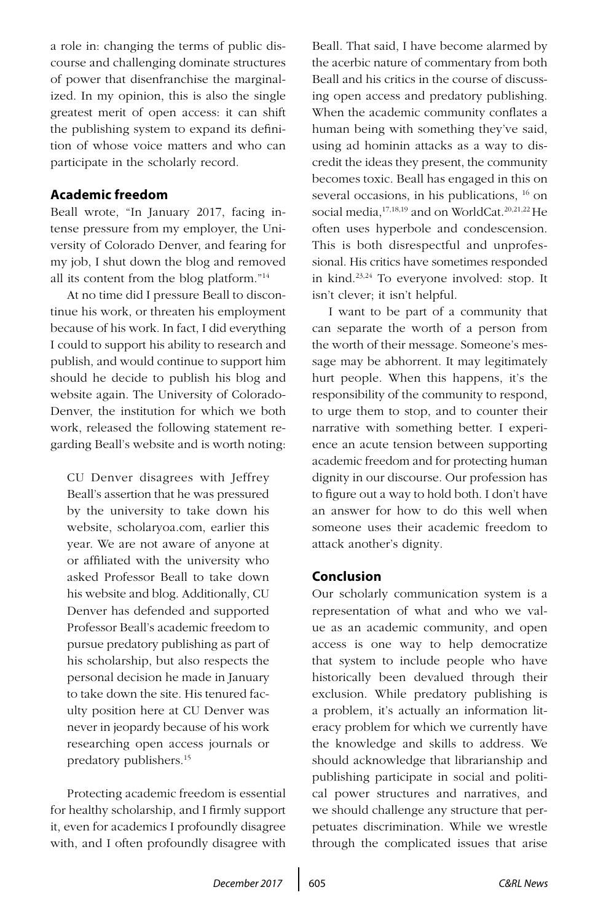a role in: changing the terms of public discourse and challenging dominate structures of power that disenfranchise the marginalized. In my opinion, this is also the single greatest merit of open access: it can shift the publishing system to expand its definition of whose voice matters and who can participate in the scholarly record.

#### **Academic freedom**

Beall wrote, "In January 2017, facing intense pressure from my employer, the University of Colorado Denver, and fearing for my job, I shut down the blog and removed all its content from the blog platform."14

At no time did I pressure Beall to discontinue his work, or threaten his employment because of his work. In fact, I did everything I could to support his ability to research and publish, and would continue to support him should he decide to publish his blog and website again. The University of Colorado-Denver, the institution for which we both work, released the following statement regarding Beall's website and is worth noting:

CU Denver disagrees with Jeffrey Beall's assertion that he was pressured by the university to take down his website, scholaryoa.com, earlier this year. We are not aware of anyone at or affiliated with the university who asked Professor Beall to take down his website and blog. Additionally, CU Denver has defended and supported Professor Beall's academic freedom to pursue predatory publishing as part of his scholarship, but also respects the personal decision he made in January to take down the site. His tenured faculty position here at CU Denver was never in jeopardy because of his work researching open access journals or predatory publishers.15

Protecting academic freedom is essential for healthy scholarship, and I firmly support it, even for academics I profoundly disagree with, and I often profoundly disagree with Beall. That said, I have become alarmed by the acerbic nature of commentary from both Beall and his critics in the course of discussing open access and predatory publishing. When the academic community conflates a human being with something they've said, using ad hominin attacks as a way to discredit the ideas they present, the community becomes toxic. Beall has engaged in this on several occasions, in his publications, 16 on social media,<sup>17,18,19</sup> and on WorldCat.<sup>20,21,22</sup> He often uses hyperbole and condescension. This is both disrespectful and unprofessional. His critics have sometimes responded in kind.23,24 To everyone involved: stop. It isn't clever; it isn't helpful.

I want to be part of a community that can separate the worth of a person from the worth of their message. Someone's message may be abhorrent. It may legitimately hurt people. When this happens, it's the responsibility of the community to respond, to urge them to stop, and to counter their narrative with something better. I experience an acute tension between supporting academic freedom and for protecting human dignity in our discourse. Our profession has to figure out a way to hold both. I don't have an answer for how to do this well when someone uses their academic freedom to attack another's dignity.

# **Conclusion**

Our scholarly communication system is a representation of what and who we value as an academic community, and open access is one way to help democratize that system to include people who have historically been devalued through their exclusion. While predatory publishing is a problem, it's actually an information literacy problem for which we currently have the knowledge and skills to address. We should acknowledge that librarianship and publishing participate in social and political power structures and narratives, and we should challenge any structure that perpetuates discrimination. While we wrestle through the complicated issues that arise